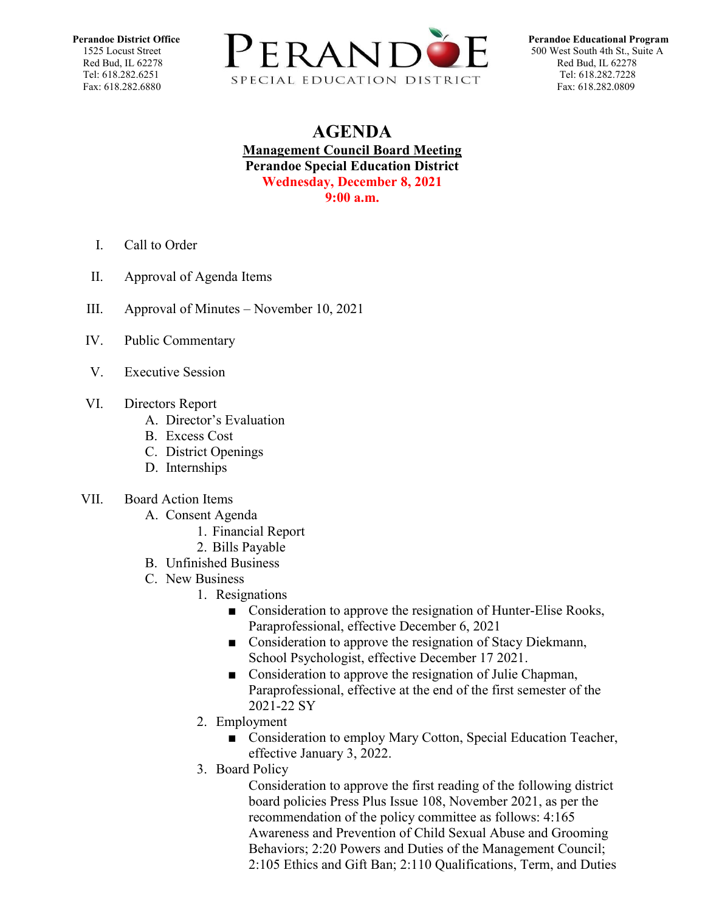

## **AGENDA Management Council Board Meeting Perandoe Special Education District Wednesday, December 8, 2021 9:00 a.m.**

- I. Call to Order
- II. Approval of Agenda Items
- III. Approval of Minutes November 10, 2021
- IV. Public Commentary
- V. Executive Session
- VI. Directors Report
	- A. Director's Evaluation
	- B. Excess Cost
	- C. District Openings
	- D. Internships
- VII. Board Action Items
	- A. Consent Agenda
		- 1. Financial Report
		- 2. Bills Payable
	- B. Unfinished Business
	- C. New Business
		- 1. Resignations
			- Consideration to approve the resignation of Hunter-Elise Rooks, Paraprofessional, effective December 6, 2021
			- Consideration to approve the resignation of Stacy Diekmann, School Psychologist, effective December 17 2021.
			- Consideration to approve the resignation of Julie Chapman, Paraprofessional, effective at the end of the first semester of the 2021-22 SY
		- 2. Employment
			- Consideration to employ Mary Cotton, Special Education Teacher, effective January 3, 2022.
		- 3. Board Policy

Consideration to approve the first reading of the following district board policies Press Plus Issue 108, November 2021, as per the recommendation of the policy committee as follows: 4:165 Awareness and Prevention of Child Sexual Abuse and Grooming Behaviors; 2:20 Powers and Duties of the Management Council; 2:105 Ethics and Gift Ban; 2:110 Qualifications, Term, and Duties